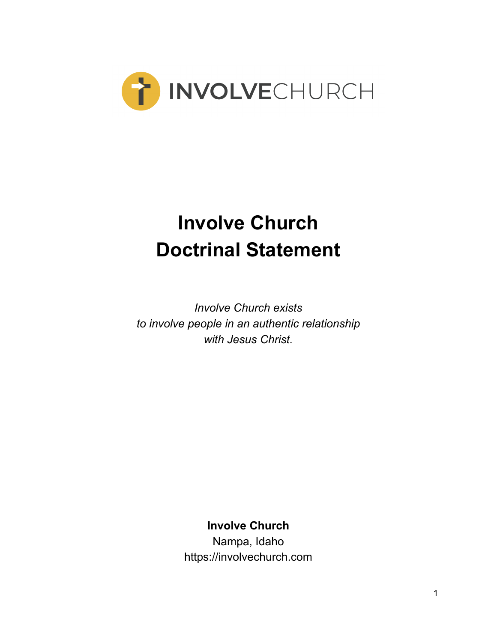

# **Involve Church Doctrinal Statement**

*Involve Church exists to involve people in an authentic relationship with Jesus Christ.*

**Involve Church**

Nampa, Idaho https://involvechurch.com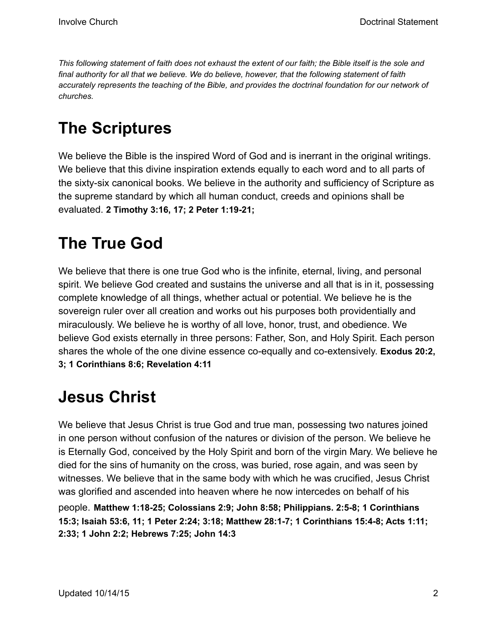This following statement of faith does not exhaust the extent of our faith; the Bible itself is the sole and *final authority for all that we believe. We do believe, however, that the following statement of faith accurately represents the teaching of the Bible, and provides the doctrinal foundation for our network of churches.*

#### **The Scriptures**

We believe the Bible is the inspired Word of God and is inerrant in the original writings. We believe that this divine inspiration extends equally to each word and to all parts of the sixty-six canonical books. We believe in the authority and sufficiency of Scripture as the supreme standard by which all human conduct, creeds and opinions shall be evaluated. **2 Timothy 3:16, 17; 2 Peter 1:19-21;**

#### **The True God**

We believe that there is one true God who is the infinite, eternal, living, and personal spirit. We believe God created and sustains the universe and all that is in it, possessing complete knowledge of all things, whether actual or potential. We believe he is the sovereign ruler over all creation and works out his purposes both providentially and miraculously. We believe he is worthy of all love, honor, trust, and obedience. We believe God exists eternally in three persons: Father, Son, and Holy Spirit. Each person shares the whole of the one divine essence co-equally and co-extensively. **Exodus 20:2, 3; 1 Corinthians 8:6; Revelation 4:11**

#### **Jesus Christ**

We believe that Jesus Christ is true God and true man, possessing two natures joined in one person without confusion of the natures or division of the person. We believe he is Eternally God, conceived by the Holy Spirit and born of the virgin Mary. We believe he died for the sins of humanity on the cross, was buried, rose again, and was seen by witnesses. We believe that in the same body with which he was crucified, Jesus Christ was glorified and ascended into heaven where he now intercedes on behalf of his

people. **Matthew 1:18-25; Colossians 2:9; John 8:58; Philippians. 2:5-8; 1 Corinthians 15:3; Isaiah 53:6, 11; 1 Peter 2:24; 3:18; Matthew 28:1-7; 1 Corinthians 15:4-8; Acts 1:11; 2:33; 1 John 2:2; Hebrews 7:25; John 14:3**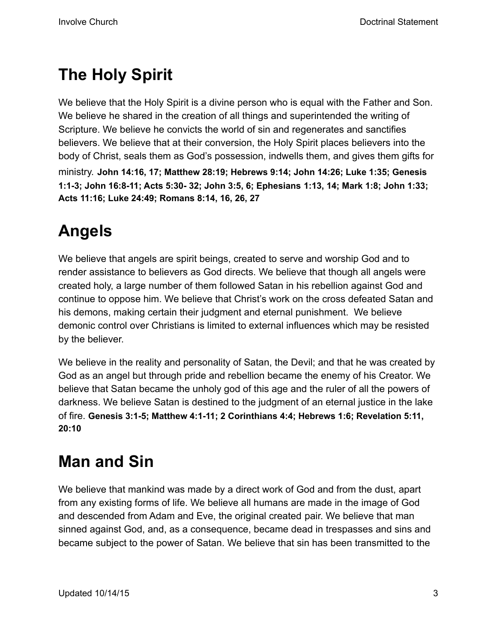## **The Holy Spirit**

We believe that the Holy Spirit is a divine person who is equal with the Father and Son. We believe he shared in the creation of all things and superintended the writing of Scripture. We believe he convicts the world of sin and regenerates and sanctifies believers. We believe that at their conversion, the Holy Spirit places believers into the body of Christ, seals them as God's possession, indwells them, and gives them gifts for ministry. **John 14:16, 17; Matthew 28:19; Hebrews 9:14; John 14:26; Luke 1:35; Genesis 1:1-3; John 16:8-11; Acts 5:30- 32; John 3:5, 6; Ephesians 1:13, 14; Mark 1:8; John 1:33; Acts 11:16; Luke 24:49; Romans 8:14, 16, 26, 27**

# **Angels**

We believe that angels are spirit beings, created to serve and worship God and to render assistance to believers as God directs. We believe that though all angels were created holy, a large number of them followed Satan in his rebellion against God and continue to oppose him. We believe that Christ's work on the cross defeated Satan and his demons, making certain their judgment and eternal punishment. We believe demonic control over Christians is limited to external influences which may be resisted by the believer.

We believe in the reality and personality of Satan, the Devil; and that he was created by God as an angel but through pride and rebellion became the enemy of his Creator. We believe that Satan became the unholy god of this age and the ruler of all the powers of darkness. We believe Satan is destined to the judgment of an eternal justice in the lake of fire. **Genesis 3:1-5; Matthew 4:1-11; 2 Corinthians 4:4; Hebrews 1:6; Revelation 5:11, 20:10**

#### **Man and Sin**

We believe that mankind was made by a direct work of God and from the dust, apart from any existing forms of life. We believe all humans are made in the image of God and descended from Adam and Eve, the original created pair. We believe that man sinned against God, and, as a consequence, became dead in trespasses and sins and became subject to the power of Satan. We believe that sin has been transmitted to the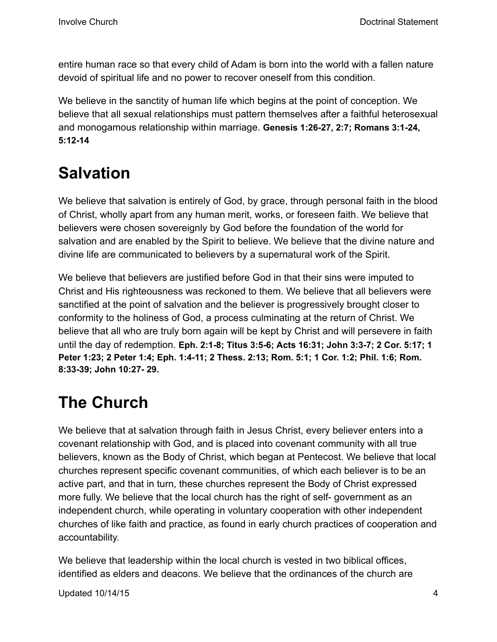entire human race so that every child of Adam is born into the world with a fallen nature devoid of spiritual life and no power to recover oneself from this condition.

We believe in the sanctity of human life which begins at the point of conception. We believe that all sexual relationships must pattern themselves after a faithful heterosexual and monogamous relationship within marriage. **Genesis 1:26-27, 2:7; Romans 3:1-24, 5:12-14**

## **Salvation**

We believe that salvation is entirely of God, by grace, through personal faith in the blood of Christ, wholly apart from any human merit, works, or foreseen faith. We believe that believers were chosen sovereignly by God before the foundation of the world for salvation and are enabled by the Spirit to believe. We believe that the divine nature and divine life are communicated to believers by a supernatural work of the Spirit.

We believe that believers are justified before God in that their sins were imputed to Christ and His righteousness was reckoned to them. We believe that all believers were sanctified at the point of salvation and the believer is progressively brought closer to conformity to the holiness of God, a process culminating at the return of Christ. We believe that all who are truly born again will be kept by Christ and will persevere in faith until the day of redemption. **Eph. 2:1-8; Titus 3:5-6; Acts 16:31; John 3:3-7; 2 Cor. 5:17; 1 Peter 1:23; 2 Peter 1:4; Eph. 1:4-11; 2 Thess. 2:13; Rom. 5:1; 1 Cor. 1:2; Phil. 1:6; Rom. 8:33-39; John 10:27- 29.**

## **The Church**

We believe that at salvation through faith in Jesus Christ, every believer enters into a covenant relationship with God, and is placed into covenant community with all true believers, known as the Body of Christ, which began at Pentecost. We believe that local churches represent specific covenant communities, of which each believer is to be an active part, and that in turn, these churches represent the Body of Christ expressed more fully. We believe that the local church has the right of self- government as an independent church, while operating in voluntary cooperation with other independent churches of like faith and practice, as found in early church practices of cooperation and accountability.

We believe that leadership within the local church is vested in two biblical offices, identified as elders and deacons. We believe that the ordinances of the church are

Updated 10/14/15 4